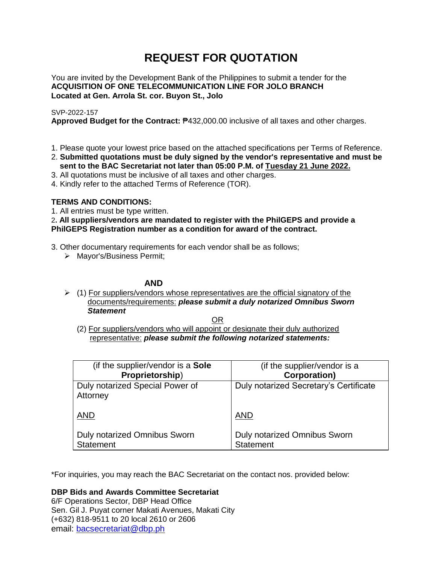# **REQUEST FOR QUOTATION**

You are invited by the Development Bank of the Philippines to submit a tender for the **ACQUISITION OF ONE TELECOMMUNICATION LINE FOR JOLO BRANCH Located at Gen. Arrola St. cor. Buyon St., Jolo**

# SVP-2022-157

**Approved Budget for the Contract:** ₱432,000.00 inclusive of all taxes and other charges.

- 1. Please quote your lowest price based on the attached specifications per Terms of Reference.
- 2. **Submitted quotations must be duly signed by the vendor's representative and must be sent to the BAC Secretariat not later than 05:00 P.M. of Tuesday 21 June 2022.**
- 3. All quotations must be inclusive of all taxes and other charges.
- 4. Kindly refer to the attached Terms of Reference (TOR).

# **TERMS AND CONDITIONS:**

1. All entries must be type written.

2**. All suppliers/vendors are mandated to register with the PhilGEPS and provide a PhilGEPS Registration number as a condition for award of the contract.**

- 3. Other documentary requirements for each vendor shall be as follows;
	- > Mayor's/Business Permit;

# **AND**

 $\geq$  (1) For suppliers/vendors whose representatives are the official signatory of the documents/requirements: *please submit a duly notarized Omnibus Sworn Statement*

<u>OR Starting and the Starting OR Starting</u>

(2) For suppliers/vendors who will appoint or designate their duly authorized representative: *please submit the following notarized statements:*

| (if the supplier/vendor is a Sole           | (if the supplier/vendor is a           |
|---------------------------------------------|----------------------------------------|
| Proprietorship)                             | <b>Corporation)</b>                    |
| Duly notarized Special Power of<br>Attorney | Duly notarized Secretary's Certificate |
| <b>AND</b>                                  | <b>AND</b>                             |
| Duly notarized Omnibus Sworn                | Duly notarized Omnibus Sworn           |
| <b>Statement</b>                            | <b>Statement</b>                       |

\*For inquiries, you may reach the BAC Secretariat on the contact nos. provided below:

**DBP Bids and Awards Committee Secretariat** 

6/F Operations Sector, DBP Head Office Sen. Gil J. Puyat corner Makati Avenues, Makati City (+632) 818-9511 to 20 local 2610 or 2606 email: [bacsecretariat@dbp.ph](mailto:bacsecretariat@dbp.ph)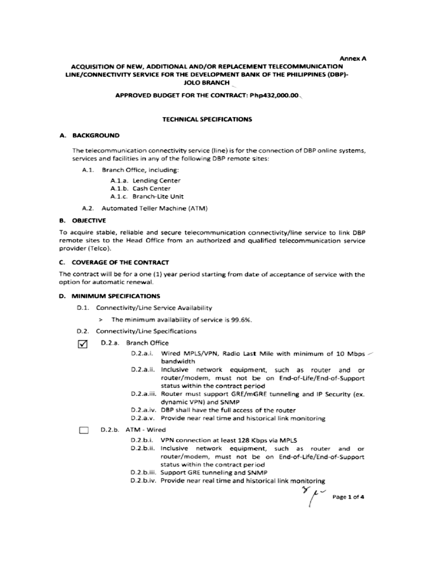#### Annex A

# ACQUISITION OF NEW, ADDITIONAL AND/OR REPLACEMENT TELECOMMUNICATION LINE/CONNECTIVITY SERVICE FOR THE DEVELOPMENT BANK OF THE PHILIPPINES (DBP)-**JOLO BRANCH**

#### APPROVED BUDGET FOR THE CONTRACT: Php432,000.00

# **TECHNICAL SPECIFICATIONS**

#### A. BACKGROUND

The telecommunication connectivity service (line) is for the connection of DBP online systems, services and facilities in any of the following DBP remote sites:

- A.1. Branch Office, including:
	- A.1.a. Lending Center
	- A.1.b. Cash Center
	- A.1.c. Branch-Lite Unit
- A.2. Automated Teller Machine (ATM)

#### **B. OBJECTIVE**

To acquire stable, reliable and secure telecommunication connectivity/line service to link DBP remote sites to the Head Office from an authorized and qualified telecommunication service provider (Telco).

#### C. COVERAGE OF THE CONTRACT

The contract will be for a one (1) year period starting from date of acceptance of service with the option for automatic renewal.

#### D. MINIMUM SPECIFICATIONS

- D.1. Connectivity/Line Service Availability
	- > The minimum availability of service is 99.6%.
- D.2. Connectivity/Line Specifications
- ☑ D.2.a. Branch Office
	- D.2.a.i. Wired MPLS/VPN, Radio Last Mile with minimum of 10 Mbps / bandwidth
	- D.2.a.ii. Inclusive network equipment, such as router and or router/modem, must not be on End-of-Life/End-of-Support status within the contract period
	- D.2.a.iii. Router must support GRE/mGRE tunneling and IP Security (ex. dynamic VPN) and SNMP
	- D.2.a.iv. DBP shall have the full access of the router
	- D.2.a.v. Provide near real time and historical link monitoring

#### D.2.b. ATM - Wired П

- D.2.b.i. VPN connection at least 128 Kbps via MPLS
- D.2.b.ii. Inclusive network equipment, such as router and or router/modem, must not be on End-of-Life/End-of-Support status within the contract period
- D.2.b.iii. Support GRE tunneling and SNMP
- D.2.b.iv. Provide near real time and historical link monitoring

 $\mu$   $\sim$  Page 1 of 4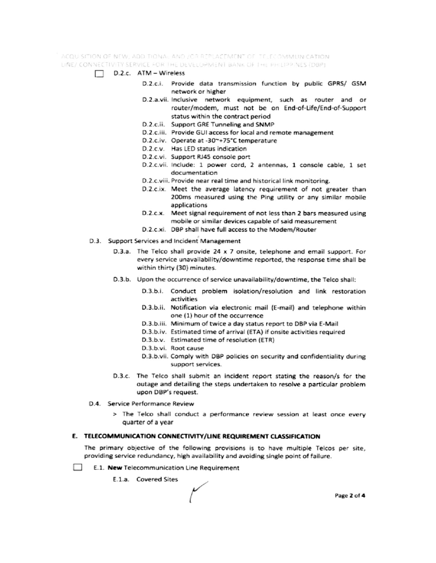ACQUISITION OF NEW, ADDITIONAL AND JOR REPLACEMENT OF TELECOMMUNICATION. LINE/ CONNECTIVITY SERVICE FOR THE DEVELOPMENT BANK OF THE PHILIPPINES (DBP)

- $\Box$  D.2.c. ATM Wireless
	- D.2.c.i. Provide data transmission function by public GPRS/ GSM network or higher
	- D.2.a.vii. Inclusive network equipment, such as router and or router/modem, must not be on End-of-Life/End-of-Support status within the contract period
	- D.2.c.ii. Support GRE Tunneling and SNMP
	- D.2.c.iii. Provide GUI access for local and remote management
	- D.2.c.iv. Operate at -30~+75°C temperature
	- D.2.c.v. Has LED status indication
	- D.2.c.vi. Support RJ45 console port
	- D.2.c.vii. Include: 1 power cord, 2 antennas, 1 console cable, 1 set documentation
	- D.2.c.viii. Provide near real time and historical link monitoring.
	- D.2.c.ix. Meet the average latency requirement of not greater than 200ms measured using the Ping utility or any similar mobile applications
	- D.2.c.x. Meet signal requirement of not less than 2 bars measured using mobile or similar devices capable of said measurement
	- D.2.c.xi. DBP shall have full access to the Modem/Router
- D.3. Support Services and Incident Management
	- D.3.a. The Telco shall provide 24 x 7 onsite, telephone and email support. For every service unavailability/downtime reported, the response time shall be within thirty (30) minutes.
	- D.3.b. Upon the occurrence of service unavailability/downtime, the Telco shall:
		- D.3.b.i. Conduct problem isolation/resolution and link restoration activities
		- D.3.b.ii. Notification via electronic mail (E-mail) and telephone within one (1) hour of the occurrence
		- D.3.b.iii. Minimum of twice a day status report to DBP via E-Mail
		- D.3.b.iv. Estimated time of arrival (ETA) if onsite activities required
		- D.3.b.v. Estimated time of resolution (ETR)
		- D.3.b.vi. Root cause
		- D.3.b.vii. Comply with DBP policies on security and confidentiality during support services.
	- D.3.c. The Telco shall submit an incident report stating the reason/s for the outage and detailing the steps undertaken to resolve a particular problem upon DBP's request.
- D.4. Service Performance Review
	- > The Telco shall conduct a performance review session at least once every quarter of a year

### E. TELECOMMUNICATION CONNECTIVITY/LINE REQUIREMENT CLASSIFICATION

The primary objective of the following provisions is to have multiple Telcos per site, providing service redundancy, high availability and avoiding single point of failure.

- **College** E.1. New Telecommunication Line Requirement
	- E.1.a. Covered Sites

Page 2 of 4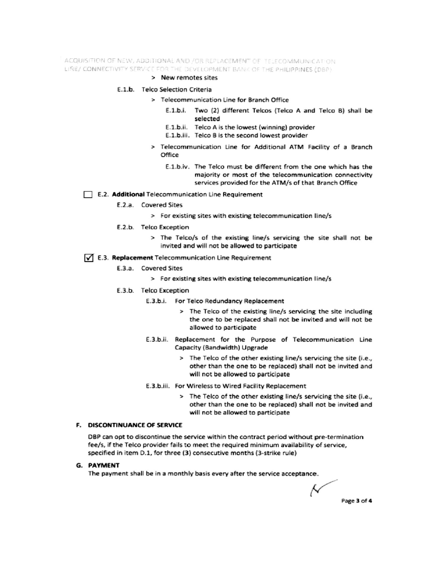ACQUISITION OF NEW, ADDITIONAL AND /OR REPLACEMENT OF TELECOMMUNICATION LINE/ CONNECTIVITY SERVICE FOR THE DEVELOPMENT BANK OF THE PHILIPPINES (DBP)

#### > New remotes sites

#### E.1.b. Telco Selection Criteria

- > Telecommunication Line for Branch Office
	- E.1.b.i. Two (2) different Telcos (Telco A and Telco B) shall be selected
	- E.1.b.ii. Telco A is the lowest (winning) provider
	- E.1.b.iii. Telco B is the second lowest provider
- > Telecommunication Line for Additional ATM Facility of a Branch Office
	- E.1.b.iv. The Telco must be different from the one which has the majority or most of the telecommunication connectivity services provided for the ATM/s of that Branch Office

#### E.2. Additional Telecommunication Line Requirement

- E.2.a. Covered Sites
	- > For existing sites with existing telecommunication line/s
- E.2.b. Telco Exception
	- > The Telco/s of the existing line/s servicing the site shall not be invited and will not be allowed to participate

## √ E.3. Replacement Telecommunication Line Requirement

- E.3.a. Covered Sites
	- > For existing sites with existing telecommunication line/s
- E.3.b. Telco Exception
	- E.3.b.i. For Telco Redundancy Replacement
		- > The Telco of the existing line/s servicing the site including the one to be replaced shall not be invited and will not be allowed to participate
	- E.3.b.ii. Replacement for the Purpose of Telecommunication Line Capacity (Bandwidth) Upgrade
		- > The Telco of the other existing line/s servicing the site (i.e., other than the one to be replaced) shall not be invited and will not be allowed to participate
	- E.3.b.iii. For Wireless to Wired Facility Replacement
		- > The Telco of the other existing line/s servicing the site (i.e., other than the one to be replaced) shall not be invited and will not be allowed to participate

# F. DISCONTINUANCE OF SERVICE

DBP can opt to discontinue the service within the contract period without pre-termination fee/s, if the Telco provider fails to meet the required minimum availability of service, specified in item D.1, for three (3) consecutive months (3-strike rule)

#### **G. PAYMENT**

The payment shall be in a monthly basis every after the service acceptance.

Ν Page 3 of 4